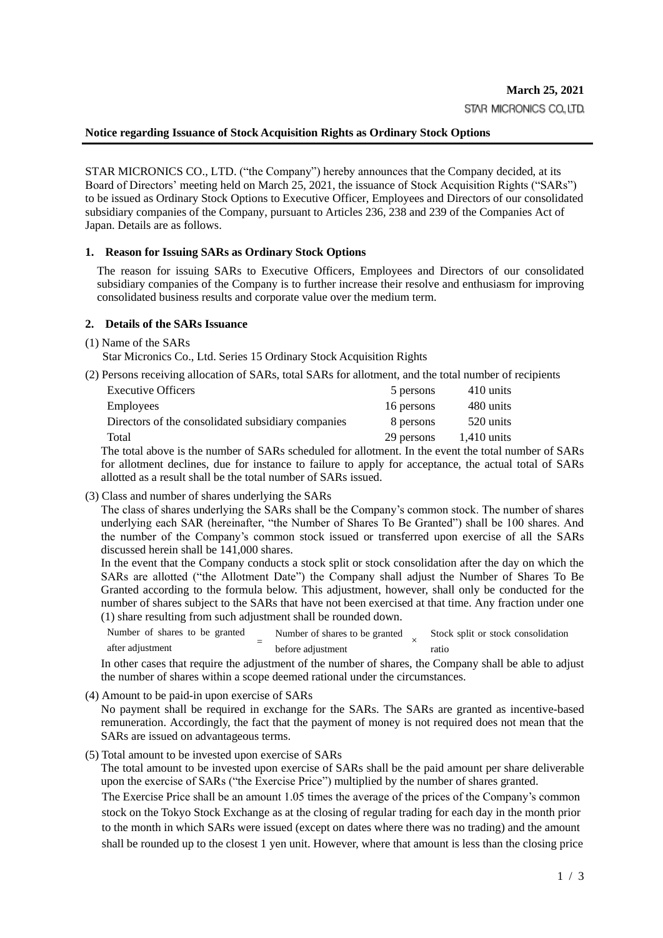## **Notice regarding Issuance of Stock Acquisition Rights as Ordinary Stock Options**

STAR MICRONICS CO., LTD. ("the Company") hereby announces that the Company decided, at its Board of Directors' meeting held on March 25, 2021, the issuance of Stock Acquisition Rights ("SARs") to be issued as Ordinary Stock Options to Executive Officer, Employees and Directors of our consolidated subsidiary companies of the Company, pursuant to Articles 236, 238 and 239 of the Companies Act of Japan. Details are as follows.

## **1. Reason for Issuing SARs as Ordinary Stock Options**

The reason for issuing SARs to Executive Officers, Employees and Directors of our consolidated subsidiary companies of the Company is to further increase their resolve and enthusiasm for improving consolidated business results and corporate value over the medium term.

## **2. Details of the SARs Issuance**

(1) Name of the SARs

Star Micronics Co., Ltd. Series 15 Ordinary Stock Acquisition Rights

(2) Persons receiving allocation of SARs, total SARs for allotment, and the total number of recipients

| <b>Executive Officers</b>                          | 5 persons  | 410 units     |
|----------------------------------------------------|------------|---------------|
| <b>Employees</b>                                   | 16 persons | 480 units     |
| Directors of the consolidated subsidiary companies | 8 persons  | 520 units     |
| Total                                              | 29 persons | $1,410$ units |

The total above is the number of SARs scheduled for allotment. In the event the total number of SARs for allotment declines, due for instance to failure to apply for acceptance, the actual total of SARs allotted as a result shall be the total number of SARs issued.

(3) Class and number of shares underlying the SARs

The class of shares underlying the SARs shall be the Company's common stock. The number of shares underlying each SAR (hereinafter, "the Number of Shares To Be Granted") shall be 100 shares. And the number of the Company's common stock issued or transferred upon exercise of all the SARs discussed herein shall be 141,000 shares.

In the event that the Company conducts a stock split or stock consolidation after the day on which the SARs are allotted ("the Allotment Date") the Company shall adjust the Number of Shares To Be Granted according to the formula below. This adjustment, however, shall only be conducted for the number of shares subject to the SARs that have not been exercised at that time. Any fraction under one (1) share resulting from such adjustment shall be rounded down.

| Number of shares to be granted |  | Number of shares to be granted |  | Stock split or stock consolidation |
|--------------------------------|--|--------------------------------|--|------------------------------------|
| after adjustment               |  | before adjustment              |  | ratio                              |

In other cases that require the adjustment of the number of shares, the Company shall be able to adjust the number of shares within a scope deemed rational under the circumstances.

(4) Amount to be paid-in upon exercise of SARs

No payment shall be required in exchange for the SARs. The SARs are granted as incentive-based remuneration. Accordingly, the fact that the payment of money is not required does not mean that the SARs are issued on advantageous terms.

(5) Total amount to be invested upon exercise of SARs

The total amount to be invested upon exercise of SARs shall be the paid amount per share deliverable upon the exercise of SARs ("the Exercise Price") multiplied by the number of shares granted.

The Exercise Price shall be an amount 1.05 times the average of the prices of the Company's common stock on the Tokyo Stock Exchange as at the closing of regular trading for each day in the month prior to the month in which SARs were issued (except on dates where there was no trading) and the amount shall be rounded up to the closest 1 yen unit. However, where that amount is less than the closing price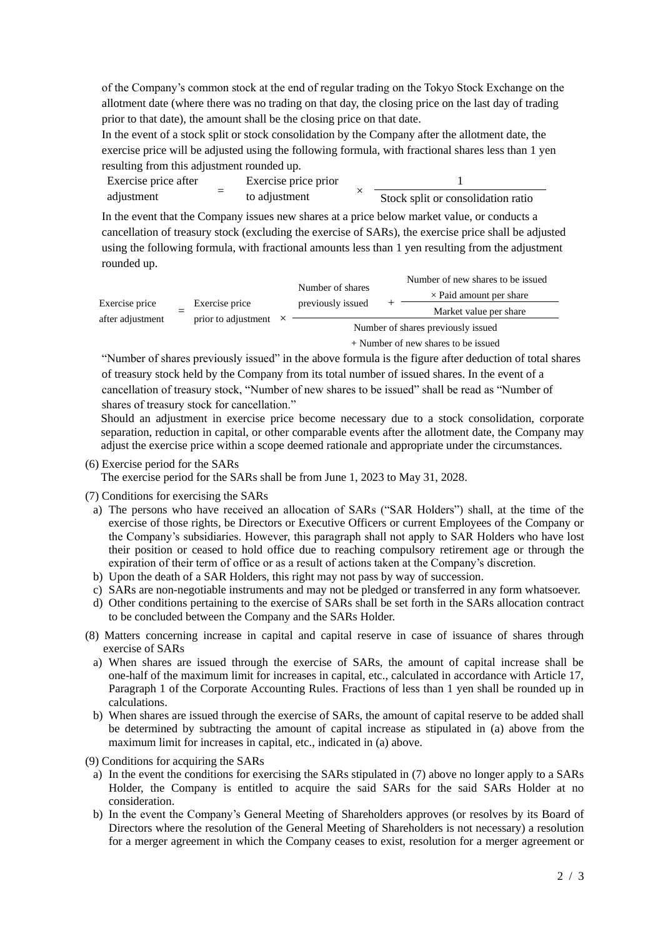of the Company's common stock at the end of regular trading on the Tokyo Stock Exchange on the allotment date (where there was no trading on that day, the closing price on the last day of trading prior to that date), the amount shall be the closing price on that date.

In the event of a stock split or stock consolidation by the Company after the allotment date, the exercise price will be adjusted using the following formula, with fractional shares less than 1 yen resulting from this adjustment rounded up.

| Exercise price after |  | Exercise price prior |                                    |  |  |
|----------------------|--|----------------------|------------------------------------|--|--|
| adjustment           |  | to adjustment        | Stock split or consolidation ratio |  |  |

In the event that the Company issues new shares at a price below market value, or conducts a cancellation of treasury stock (excluding the exercise of SARs), the exercise price shall be adjusted using the following formula, with fractional amounts less than 1 yen resulting from the adjustment rounded up.

| Exercise price<br>after adjustment |  |                              |                                     | Number of shares                   |  | Number of new shares to be issued |  |  |
|------------------------------------|--|------------------------------|-------------------------------------|------------------------------------|--|-----------------------------------|--|--|
|                                    |  |                              |                                     |                                    |  | $\times$ Paid amount per share    |  |  |
|                                    |  | Exercise price               |                                     | previously issued                  |  | Market value per share            |  |  |
|                                    |  | prior to adjustment $\times$ |                                     | Number of shares previously issued |  |                                   |  |  |
|                                    |  |                              | + Number of new shares to be issued |                                    |  |                                   |  |  |

"Number of shares previously issued" in the above formula is the figure after deduction of total shares of treasury stock held by the Company from its total number of issued shares. In the event of a cancellation of treasury stock, "Number of new shares to be issued" shall be read as "Number of shares of treasury stock for cancellation."

Should an adjustment in exercise price become necessary due to a stock consolidation, corporate separation, reduction in capital, or other comparable events after the allotment date, the Company may adjust the exercise price within a scope deemed rationale and appropriate under the circumstances.

(6) Exercise period for the SARs

The exercise period for the SARs shall be from June 1, 2023 to May 31, 2028.

(7) Conditions for exercising the SARs

- a) The persons who have received an allocation of SARs ("SAR Holders") shall, at the time of the exercise of those rights, be Directors or Executive Officers or current Employees of the Company or the Company's subsidiaries. However, this paragraph shall not apply to SAR Holders who have lost their position or ceased to hold office due to reaching compulsory retirement age or through the expiration of their term of office or as a result of actions taken at the Company's discretion.
- b) Upon the death of a SAR Holders, this right may not pass by way of succession.
- c) SARs are non-negotiable instruments and may not be pledged or transferred in any form whatsoever.
- d) Other conditions pertaining to the exercise of SARs shall be set forth in the SARs allocation contract to be concluded between the Company and the SARs Holder.
- (8) Matters concerning increase in capital and capital reserve in case of issuance of shares through exercise of SARs
	- a) When shares are issued through the exercise of SARs, the amount of capital increase shall be one-half of the maximum limit for increases in capital, etc., calculated in accordance with Article 17, Paragraph 1 of the Corporate Accounting Rules. Fractions of less than 1 yen shall be rounded up in calculations.
	- b) When shares are issued through the exercise of SARs, the amount of capital reserve to be added shall be determined by subtracting the amount of capital increase as stipulated in (a) above from the maximum limit for increases in capital, etc., indicated in (a) above.

(9) Conditions for acquiring the SARs

- a) In the event the conditions for exercising the SARs stipulated in (7) above no longer apply to a SARs Holder, the Company is entitled to acquire the said SARs for the said SARs Holder at no consideration.
- b) In the event the Company's General Meeting of Shareholders approves (or resolves by its Board of Directors where the resolution of the General Meeting of Shareholders is not necessary) a resolution for a merger agreement in which the Company ceases to exist, resolution for a merger agreement or